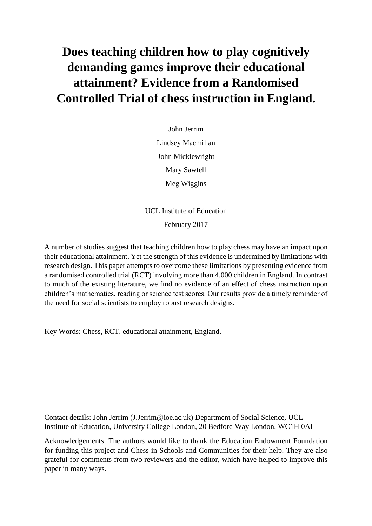# **Does teaching children how to play cognitively demanding games improve their educational attainment? Evidence from a Randomised Controlled Trial of chess instruction in England.**

John Jerrim Lindsey Macmillan John Micklewright Mary Sawtell Meg Wiggins

UCL Institute of Education February 2017

A number of studies suggest that teaching children how to play chess may have an impact upon their educational attainment. Yet the strength of this evidence is undermined by limitations with research design. This paper attempts to overcome these limitations by presenting evidence from a randomised controlled trial (RCT) involving more than 4,000 children in England. In contrast to much of the existing literature, we find no evidence of an effect of chess instruction upon children's mathematics, reading or science test scores. Our results provide a timely reminder of the need for social scientists to employ robust research designs.

Key Words: Chess, RCT, educational attainment, England.

Contact details: John Jerrim [\(J.Jerrim@ioe.ac.uk\)](mailto:J.Jerrim@ioe.ac.uk) Department of Social Science, UCL Institute of Education, University College London, 20 Bedford Way London, WC1H 0AL

Acknowledgements: The authors would like to thank the Education Endowment Foundation for funding this project and Chess in Schools and Communities for their help. They are also grateful for comments from two reviewers and the editor, which have helped to improve this paper in many ways.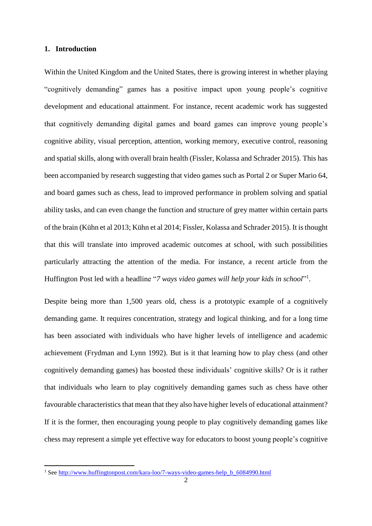# **1. Introduction**

 $\overline{\phantom{a}}$ 

Within the United Kingdom and the United States, there is growing interest in whether playing "cognitively demanding" games has a positive impact upon young people's cognitive development and educational attainment. For instance, recent academic work has suggested that cognitively demanding digital games and board games can improve young people's cognitive ability, visual perception, attention, working memory, executive control, reasoning and spatial skills, along with overall brain health (Fissler, Kolassa and Schrader 2015). This has been accompanied by research suggesting that video games such as Portal 2 or Super Mario 64, and board games such as chess, lead to improved performance in problem solving and spatial ability tasks, and can even change the function and structure of grey matter within certain parts of the brain (Kühn et al 2013; Kühn et al 2014; Fissler, Kolassa and Schrader 2015). It is thought that this will translate into improved academic outcomes at school, with such possibilities particularly attracting the attention of the media. For instance, a recent article from the Huffington Post led with a headline "7 ways video games will help your kids in school"<sup>1</sup>.

Despite being more than 1,500 years old, chess is a prototypic example of a cognitively demanding game. It requires concentration, strategy and logical thinking, and for a long time has been associated with individuals who have higher levels of intelligence and academic achievement (Frydman and Lynn 1992). But is it that learning how to play chess (and other cognitively demanding games) has boosted these individuals' cognitive skills? Or is it rather that individuals who learn to play cognitively demanding games such as chess have other favourable characteristics that mean that they also have higher levels of educational attainment? If it is the former, then encouraging young people to play cognitively demanding games like chess may represent a simple yet effective way for educators to boost young people's cognitive

<sup>&</sup>lt;sup>1</sup> Se[e http://www.huffingtonpost.com/kara-loo/7-ways-video-games-help\\_b\\_6084990.html](http://www.huffingtonpost.com/kara-loo/7-ways-video-games-help_b_6084990.html)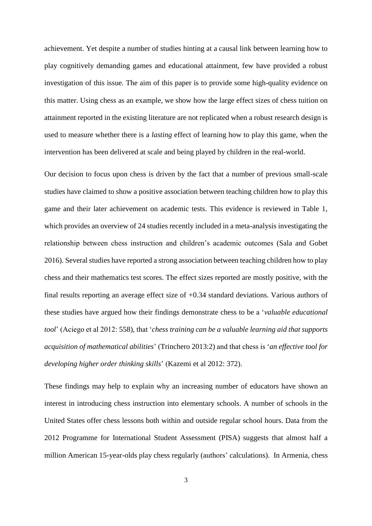achievement. Yet despite a number of studies hinting at a causal link between learning how to play cognitively demanding games and educational attainment, few have provided a robust investigation of this issue. The aim of this paper is to provide some high-quality evidence on this matter. Using chess as an example, we show how the large effect sizes of chess tuition on attainment reported in the existing literature are not replicated when a robust research design is used to measure whether there is a *lasting* effect of learning how to play this game, when the intervention has been delivered at scale and being played by children in the real-world.

Our decision to focus upon chess is driven by the fact that a number of previous small-scale studies have claimed to show a positive association between teaching children how to play this game and their later achievement on academic tests. This evidence is reviewed in Table 1, which provides an overview of 24 studies recently included in a meta-analysis investigating the relationship between chess instruction and children's academic outcomes (Sala and Gobet 2016). Several studies have reported a strong association between teaching children how to play chess and their mathematics test scores. The effect sizes reported are mostly positive, with the final results reporting an average effect size of +0.34 standard deviations. Various authors of these studies have argued how their findings demonstrate chess to be a '*valuable educational tool*' (Aciego et al 2012: 558), that '*chess training can be a valuable learning aid that supports acquisition of mathematical abilities*' (Trinchero 2013:2) and that chess is '*an effective tool for developing higher order thinking skills*' (Kazemi et al 2012: 372).

These findings may help to explain why an increasing number of educators have shown an interest in introducing chess instruction into elementary schools. A number of schools in the United States offer chess lessons both within and outside regular school hours. Data from the 2012 Programme for International Student Assessment (PISA) suggests that almost half a million American 15-year-olds play chess regularly (authors' calculations). In Armenia, chess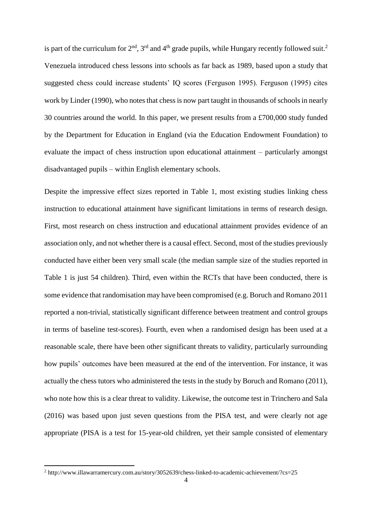is part of the curriculum for  $2^{\text{nd}}$ ,  $3^{\text{rd}}$  and  $4^{\text{th}}$  grade pupils, while Hungary recently followed suit.<sup>2</sup> Venezuela introduced chess lessons into schools as far back as 1989, based upon a study that suggested chess could increase students' IQ scores (Ferguson 1995). Ferguson (1995) cites work by Linder (1990), who notes that chess is now part taught in thousands of schools in nearly 30 countries around the world. In this paper, we present results from a £700,000 study funded by the Department for Education in England (via the Education Endowment Foundation) to evaluate the impact of chess instruction upon educational attainment – particularly amongst disadvantaged pupils – within English elementary schools.

Despite the impressive effect sizes reported in Table 1, most existing studies linking chess instruction to educational attainment have significant limitations in terms of research design. First, most research on chess instruction and educational attainment provides evidence of an association only, and not whether there is a causal effect. Second, most of the studies previously conducted have either been very small scale (the median sample size of the studies reported in Table 1 is just 54 children). Third, even within the RCTs that have been conducted, there is some evidence that randomisation may have been compromised (e.g. Boruch and Romano 2011 reported a non-trivial, statistically significant difference between treatment and control groups in terms of baseline test-scores). Fourth, even when a randomised design has been used at a reasonable scale, there have been other significant threats to validity, particularly surrounding how pupils' outcomes have been measured at the end of the intervention. For instance, it was actually the chess tutors who administered the tests in the study by Boruch and Romano (2011), who note how this is a clear threat to validity. Likewise, the outcome test in Trinchero and Sala (2016) was based upon just seven questions from the PISA test, and were clearly not age appropriate (PISA is a test for 15-year-old children, yet their sample consisted of elementary

<sup>2</sup> http://www.illawarramercury.com.au/story/3052639/chess-linked-to-academic-achievement/?cs=25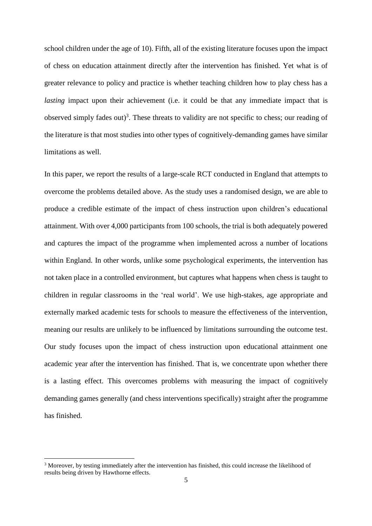school children under the age of 10). Fifth, all of the existing literature focuses upon the impact of chess on education attainment directly after the intervention has finished. Yet what is of greater relevance to policy and practice is whether teaching children how to play chess has a *lasting* impact upon their achievement (i.e. it could be that any immediate impact that is observed simply fades out)<sup>3</sup>. These threats to validity are not specific to chess; our reading of the literature is that most studies into other types of cognitively-demanding games have similar limitations as well.

In this paper, we report the results of a large-scale RCT conducted in England that attempts to overcome the problems detailed above. As the study uses a randomised design, we are able to produce a credible estimate of the impact of chess instruction upon children's educational attainment. With over 4,000 participants from 100 schools, the trial is both adequately powered and captures the impact of the programme when implemented across a number of locations within England. In other words, unlike some psychological experiments, the intervention has not taken place in a controlled environment, but captures what happens when chess is taught to children in regular classrooms in the 'real world'. We use high-stakes, age appropriate and externally marked academic tests for schools to measure the effectiveness of the intervention, meaning our results are unlikely to be influenced by limitations surrounding the outcome test. Our study focuses upon the impact of chess instruction upon educational attainment one academic year after the intervention has finished. That is, we concentrate upon whether there is a lasting effect. This overcomes problems with measuring the impact of cognitively demanding games generally (and chess interventions specifically) straight after the programme has finished.

<sup>&</sup>lt;sup>3</sup> Moreover, by testing immediately after the intervention has finished, this could increase the likelihood of results being driven by Hawthorne effects.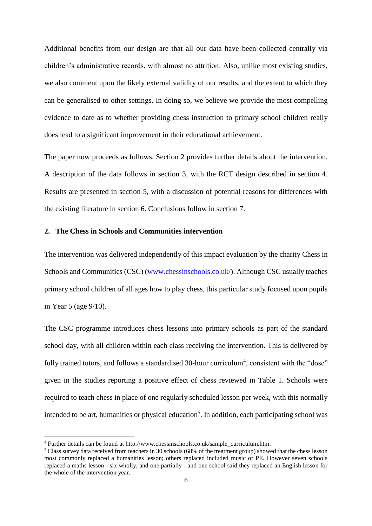Additional benefits from our design are that all our data have been collected centrally via children's administrative records, with almost no attrition. Also, unlike most existing studies, we also comment upon the likely external validity of our results, and the extent to which they can be generalised to other settings. In doing so, we believe we provide the most compelling evidence to date as to whether providing chess instruction to primary school children really does lead to a significant improvement in their educational achievement.

The paper now proceeds as follows. Section 2 provides further details about the intervention. A description of the data follows in section 3, with the RCT design described in section 4. Results are presented in section 5, with a discussion of potential reasons for differences with the existing literature in section 6. Conclusions follow in section 7.

# **2. The Chess in Schools and Communities intervention**

The intervention was delivered independently of this impact evaluation by the charity Chess in Schools and Communities (CSC) [\(www.chessinschools.co.uk/\)](http://www.chessinschools.co.uk/). Although CSC usually teaches primary school children of all ages how to play chess, this particular study focused upon pupils in Year 5 (age 9/10).

The CSC programme introduces chess lessons into primary schools as part of the standard school day, with all children within each class receiving the intervention. This is delivered by fully trained tutors, and follows a standardised 30-hour curriculum<sup>4</sup>, consistent with the "dose" given in the studies reporting a positive effect of chess reviewed in Table 1. Schools were required to teach chess in place of one regularly scheduled lesson per week, with this normally intended to be art, humanities or physical education<sup>5</sup>. In addition, each participating school was

<sup>4</sup> Further details can be found at [http://www.chessinschools.co.uk/sample\\_curriculum.htm.](http://www.chessinschools.co.uk/sample_curriculum.htm)

<sup>5</sup> Class survey data received from teachers in 30 schools (68% of the treatment group) showed that the chess lesson most commonly replaced a humanities lesson; others replaced included music or PE. However seven schools replaced a maths lesson - six wholly, and one partially - and one school said they replaced an English lesson for the whole of the intervention year.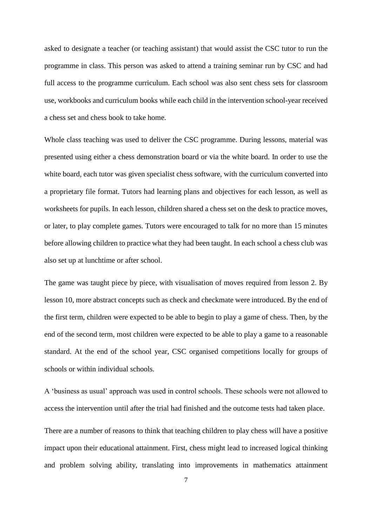asked to designate a teacher (or teaching assistant) that would assist the CSC tutor to run the programme in class. This person was asked to attend a training seminar run by CSC and had full access to the programme curriculum. Each school was also sent chess sets for classroom use, workbooks and curriculum books while each child in the intervention school-year received a chess set and chess book to take home.

Whole class teaching was used to deliver the CSC programme. During lessons, material was presented using either a chess demonstration board or via the white board. In order to use the white board, each tutor was given specialist chess software, with the curriculum converted into a proprietary file format. Tutors had learning plans and objectives for each lesson, as well as worksheets for pupils. In each lesson, children shared a chess set on the desk to practice moves, or later, to play complete games. Tutors were encouraged to talk for no more than 15 minutes before allowing children to practice what they had been taught. In each school a chess club was also set up at lunchtime or after school.

The game was taught piece by piece, with visualisation of moves required from lesson 2. By lesson 10, more abstract concepts such as check and checkmate were introduced. By the end of the first term, children were expected to be able to begin to play a game of chess. Then, by the end of the second term, most children were expected to be able to play a game to a reasonable standard. At the end of the school year, CSC organised competitions locally for groups of schools or within individual schools.

A 'business as usual' approach was used in control schools. These schools were not allowed to access the intervention until after the trial had finished and the outcome tests had taken place.

There are a number of reasons to think that teaching children to play chess will have a positive impact upon their educational attainment. First, chess might lead to increased logical thinking and problem solving ability, translating into improvements in mathematics attainment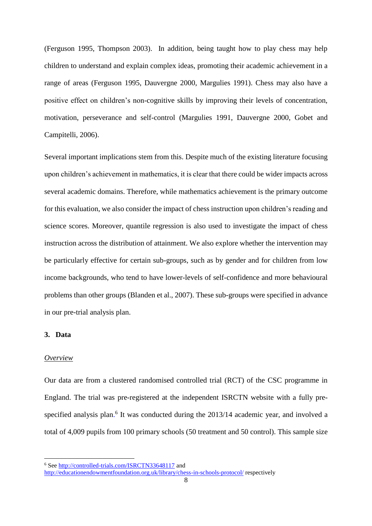(Ferguson 1995, Thompson 2003). In addition, being taught how to play chess may help children to understand and explain complex ideas, promoting their academic achievement in a range of areas (Ferguson 1995, Dauvergne 2000, Margulies 1991). Chess may also have a positive effect on children's non-cognitive skills by improving their levels of concentration, motivation, perseverance and self-control (Margulies 1991, Dauvergne 2000, Gobet and Campitelli, 2006).

Several important implications stem from this. Despite much of the existing literature focusing upon children's achievement in mathematics, it is clear that there could be wider impacts across several academic domains. Therefore, while mathematics achievement is the primary outcome for this evaluation, we also consider the impact of chess instruction upon children's reading and science scores. Moreover, quantile regression is also used to investigate the impact of chess instruction across the distribution of attainment. We also explore whether the intervention may be particularly effective for certain sub-groups, such as by gender and for children from low income backgrounds, who tend to have lower-levels of self-confidence and more behavioural problems than other groups (Blanden et al., 2007). These sub-groups were specified in advance in our pre-trial analysis plan.

# **3. Data**

### *Overview*

 $\overline{\phantom{a}}$ 

Our data are from a clustered randomised controlled trial (RCT) of the CSC programme in England. The trial was pre-registered at the independent ISRCTN website with a fully prespecified analysis plan.<sup>6</sup> It was conducted during the 2013/14 academic year, and involved a total of 4,009 pupils from 100 primary schools (50 treatment and 50 control). This sample size

<sup>6</sup> Se[e http://controlled-trials.com/ISRCTN33648117](http://controlled-trials.com/ISRCTN33648117) and

<http://educationendowmentfoundation.org.uk/library/chess-in-schools-protocol/> respectively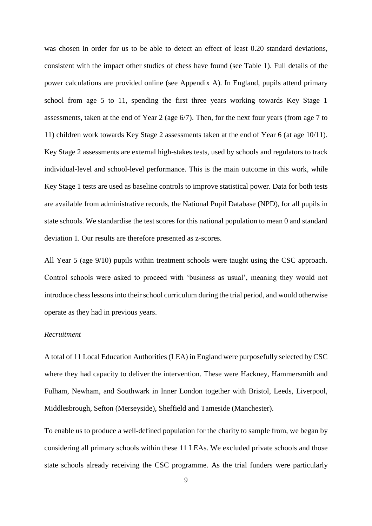was chosen in order for us to be able to detect an effect of least 0.20 standard deviations, consistent with the impact other studies of chess have found (see Table 1). Full details of the power calculations are provided online (see Appendix A). In England, pupils attend primary school from age 5 to 11, spending the first three years working towards Key Stage 1 assessments, taken at the end of Year 2 (age 6/7). Then, for the next four years (from age 7 to 11) children work towards Key Stage 2 assessments taken at the end of Year 6 (at age 10/11). Key Stage 2 assessments are external high-stakes tests, used by schools and regulators to track individual-level and school-level performance. This is the main outcome in this work, while Key Stage 1 tests are used as baseline controls to improve statistical power. Data for both tests are available from administrative records, the National Pupil Database (NPD), for all pupils in state schools. We standardise the test scores for this national population to mean 0 and standard deviation 1. Our results are therefore presented as z-scores.

All Year 5 (age 9/10) pupils within treatment schools were taught using the CSC approach. Control schools were asked to proceed with 'business as usual', meaning they would not introduce chess lessons into their school curriculum during the trial period, and would otherwise operate as they had in previous years.

#### *Recruitment*

A total of 11 Local Education Authorities (LEA) in England were purposefully selected by CSC where they had capacity to deliver the intervention. These were Hackney, Hammersmith and Fulham, Newham, and Southwark in Inner London together with Bristol, Leeds, Liverpool, Middlesbrough, Sefton (Merseyside), Sheffield and Tameside (Manchester).

To enable us to produce a well-defined population for the charity to sample from, we began by considering all primary schools within these 11 LEAs. We excluded private schools and those state schools already receiving the CSC programme. As the trial funders were particularly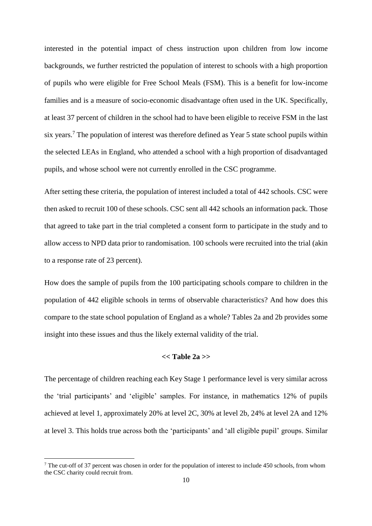interested in the potential impact of chess instruction upon children from low income backgrounds, we further restricted the population of interest to schools with a high proportion of pupils who were eligible for Free School Meals (FSM). This is a benefit for low-income families and is a measure of socio-economic disadvantage often used in the UK. Specifically, at least 37 percent of children in the school had to have been eligible to receive FSM in the last six years. <sup>7</sup> The population of interest was therefore defined as Year 5 state school pupils within the selected LEAs in England, who attended a school with a high proportion of disadvantaged pupils, and whose school were not currently enrolled in the CSC programme.

After setting these criteria, the population of interest included a total of 442 schools. CSC were then asked to recruit 100 of these schools. CSC sent all 442 schools an information pack. Those that agreed to take part in the trial completed a consent form to participate in the study and to allow access to NPD data prior to randomisation. 100 schools were recruited into the trial (akin to a response rate of 23 percent).

How does the sample of pupils from the 100 participating schools compare to children in the population of 442 eligible schools in terms of observable characteristics? And how does this compare to the state school population of England as a whole? Tables 2a and 2b provides some insight into these issues and thus the likely external validity of the trial.

# **<< Table 2a >>**

The percentage of children reaching each Key Stage 1 performance level is very similar across the 'trial participants' and 'eligible' samples. For instance, in mathematics 12% of pupils achieved at level 1, approximately 20% at level 2C, 30% at level 2b, 24% at level 2A and 12% at level 3. This holds true across both the 'participants' and 'all eligible pupil' groups. Similar

 $7$  The cut-off of 37 percent was chosen in order for the population of interest to include 450 schools, from whom the CSC charity could recruit from.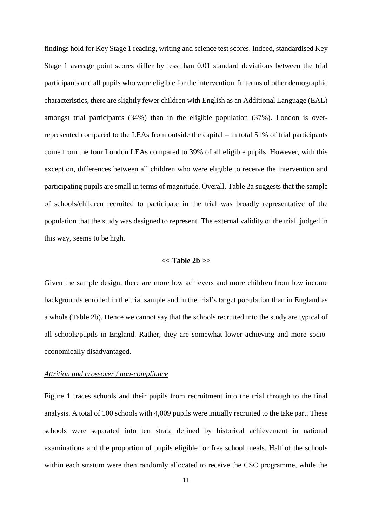findings hold for Key Stage 1 reading, writing and science test scores. Indeed, standardised Key Stage 1 average point scores differ by less than 0.01 standard deviations between the trial participants and all pupils who were eligible for the intervention. In terms of other demographic characteristics, there are slightly fewer children with English as an Additional Language (EAL) amongst trial participants (34%) than in the eligible population (37%). London is overrepresented compared to the LEAs from outside the capital – in total 51% of trial participants come from the four London LEAs compared to 39% of all eligible pupils. However, with this exception, differences between all children who were eligible to receive the intervention and participating pupils are small in terms of magnitude. Overall, Table 2a suggests that the sample of schools/children recruited to participate in the trial was broadly representative of the population that the study was designed to represent. The external validity of the trial, judged in this way, seems to be high.

# **<< Table 2b >>**

Given the sample design, there are more low achievers and more children from low income backgrounds enrolled in the trial sample and in the trial's target population than in England as a whole (Table 2b). Hence we cannot say that the schools recruited into the study are typical of all schools/pupils in England. Rather, they are somewhat lower achieving and more socioeconomically disadvantaged.

### *Attrition and crossover / non-compliance*

Figure 1 traces schools and their pupils from recruitment into the trial through to the final analysis. A total of 100 schools with 4,009 pupils were initially recruited to the take part. These schools were separated into ten strata defined by historical achievement in national examinations and the proportion of pupils eligible for free school meals. Half of the schools within each stratum were then randomly allocated to receive the CSC programme, while the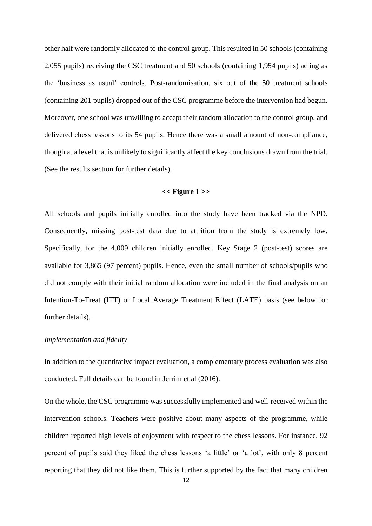other half were randomly allocated to the control group. This resulted in 50 schools (containing 2,055 pupils) receiving the CSC treatment and 50 schools (containing 1,954 pupils) acting as the 'business as usual' controls. Post-randomisation, six out of the 50 treatment schools (containing 201 pupils) dropped out of the CSC programme before the intervention had begun. Moreover, one school was unwilling to accept their random allocation to the control group, and delivered chess lessons to its 54 pupils. Hence there was a small amount of non-compliance, though at a level that is unlikely to significantly affect the key conclusions drawn from the trial. (See the results section for further details).

# **<< Figure 1 >>**

All schools and pupils initially enrolled into the study have been tracked via the NPD. Consequently, missing post-test data due to attrition from the study is extremely low. Specifically, for the 4,009 children initially enrolled, Key Stage 2 (post-test) scores are available for 3,865 (97 percent) pupils. Hence, even the small number of schools/pupils who did not comply with their initial random allocation were included in the final analysis on an Intention-To-Treat (ITT) or Local Average Treatment Effect (LATE) basis (see below for further details).

### *Implementation and fidelity*

In addition to the quantitative impact evaluation, a complementary process evaluation was also conducted. Full details can be found in Jerrim et al (2016).

On the whole, the CSC programme was successfully implemented and well-received within the intervention schools. Teachers were positive about many aspects of the programme, while children reported high levels of enjoyment with respect to the chess lessons. For instance, 92 percent of pupils said they liked the chess lessons 'a little' or 'a lot', with only 8 percent reporting that they did not like them. This is further supported by the fact that many children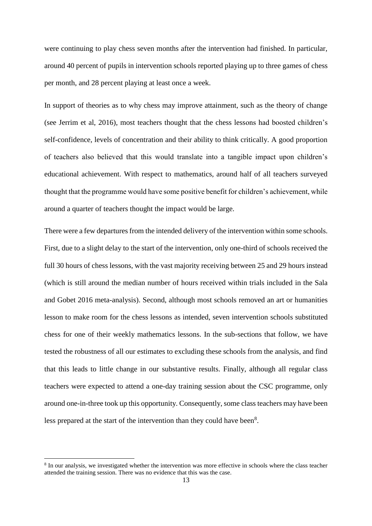were continuing to play chess seven months after the intervention had finished. In particular, around 40 percent of pupils in intervention schools reported playing up to three games of chess per month, and 28 percent playing at least once a week.

In support of theories as to why chess may improve attainment, such as the theory of change (see Jerrim et al, 2016), most teachers thought that the chess lessons had boosted children's self-confidence, levels of concentration and their ability to think critically. A good proportion of teachers also believed that this would translate into a tangible impact upon children's educational achievement. With respect to mathematics, around half of all teachers surveyed thought that the programme would have some positive benefit for children's achievement, while around a quarter of teachers thought the impact would be large.

There were a few departures from the intended delivery of the intervention within some schools. First, due to a slight delay to the start of the intervention, only one-third of schools received the full 30 hours of chess lessons, with the vast majority receiving between 25 and 29 hours instead (which is still around the median number of hours received within trials included in the Sala and Gobet 2016 meta-analysis). Second, although most schools removed an art or humanities lesson to make room for the chess lessons as intended, seven intervention schools substituted chess for one of their weekly mathematics lessons. In the sub-sections that follow, we have tested the robustness of all our estimates to excluding these schools from the analysis, and find that this leads to little change in our substantive results. Finally, although all regular class teachers were expected to attend a one-day training session about the CSC programme, only around one-in-three took up this opportunity. Consequently, some class teachers may have been less prepared at the start of the intervention than they could have been $8$ .

<sup>&</sup>lt;sup>8</sup> In our analysis, we investigated whether the intervention was more effective in schools where the class teacher attended the training session. There was no evidence that this was the case.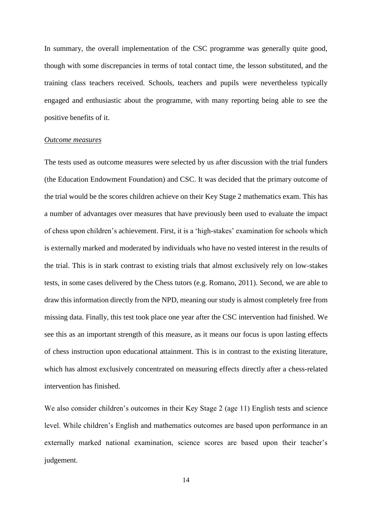In summary, the overall implementation of the CSC programme was generally quite good, though with some discrepancies in terms of total contact time, the lesson substituted, and the training class teachers received. Schools, teachers and pupils were nevertheless typically engaged and enthusiastic about the programme, with many reporting being able to see the positive benefits of it.

#### *Outcome measures*

The tests used as outcome measures were selected by us after discussion with the trial funders (the Education Endowment Foundation) and CSC. It was decided that the primary outcome of the trial would be the scores children achieve on their Key Stage 2 mathematics exam. This has a number of advantages over measures that have previously been used to evaluate the impact of chess upon children's achievement. First, it is a 'high-stakes' examination for schools which is externally marked and moderated by individuals who have no vested interest in the results of the trial. This is in stark contrast to existing trials that almost exclusively rely on low-stakes tests, in some cases delivered by the Chess tutors (e.g. Romano, 2011). Second, we are able to draw this information directly from the NPD, meaning our study is almost completely free from missing data. Finally, this test took place one year after the CSC intervention had finished. We see this as an important strength of this measure, as it means our focus is upon lasting effects of chess instruction upon educational attainment. This is in contrast to the existing literature, which has almost exclusively concentrated on measuring effects directly after a chess-related intervention has finished.

We also consider children's outcomes in their Key Stage 2 (age 11) English tests and science level. While children's English and mathematics outcomes are based upon performance in an externally marked national examination, science scores are based upon their teacher's judgement.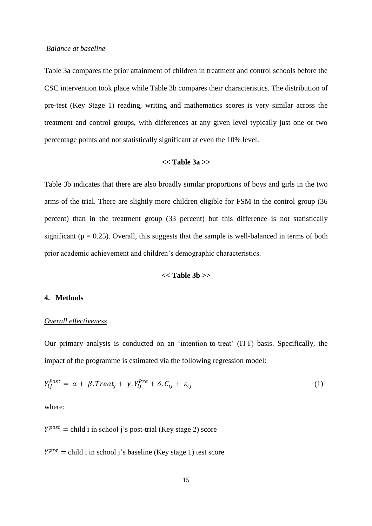# *Balance at baseline*

Table 3a compares the prior attainment of children in treatment and control schools before the CSC intervention took place while Table 3b compares their characteristics. The distribution of pre-test (Key Stage 1) reading, writing and mathematics scores is very similar across the treatment and control groups, with differences at any given level typically just one or two percentage points and not statistically significant at even the 10% level.

# **<< Table 3a >>**

Table 3b indicates that there are also broadly similar proportions of boys and girls in the two arms of the trial. There are slightly more children eligible for FSM in the control group (36 percent) than in the treatment group (33 percent) but this difference is not statistically significant ( $p = 0.25$ ). Overall, this suggests that the sample is well-balanced in terms of both prior academic achievement and children's demographic characteristics.

# **<< Table 3b >>**

# **4. Methods**

### *Overall effectiveness*

Our primary analysis is conducted on an 'intention-to-treat' (ITT) basis. Specifically, the impact of the programme is estimated via the following regression model:

$$
Y_{ij}^{Post} = \alpha + \beta. Treat_j + \gamma. Y_{ij}^{Pre} + \delta. C_{ij} + \varepsilon_{ij}
$$
\n
$$
\tag{1}
$$

where:

 $Y^{post} =$  child i in school j's post-trial (Key stage 2) score

 $Y^{pre} =$  child i in school j's baseline (Key stage 1) test score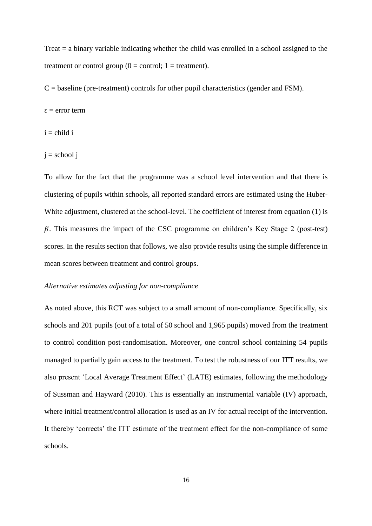Treat = a binary variable indicating whether the child was enrolled in a school assigned to the treatment or control group  $(0 = \text{control}; 1 = \text{treatment}).$ 

 $C =$  baseline (pre-treatment) controls for other pupil characteristics (gender and FSM).

 $\epsilon$  = error term

 $i = child$  i

 $j =$  school  $j$ 

To allow for the fact that the programme was a school level intervention and that there is clustering of pupils within schools, all reported standard errors are estimated using the Huber-White adjustment, clustered at the school-level. The coefficient of interest from equation (1) is  $\beta$ . This measures the impact of the CSC programme on children's Key Stage 2 (post-test) scores. In the results section that follows, we also provide results using the simple difference in mean scores between treatment and control groups.

# *Alternative estimates adjusting for non-compliance*

As noted above, this RCT was subject to a small amount of non-compliance. Specifically, six schools and 201 pupils (out of a total of 50 school and 1,965 pupils) moved from the treatment to control condition post-randomisation. Moreover, one control school containing 54 pupils managed to partially gain access to the treatment. To test the robustness of our ITT results, we also present 'Local Average Treatment Effect' (LATE) estimates, following the methodology of Sussman and Hayward (2010). This is essentially an instrumental variable (IV) approach, where initial treatment/control allocation is used as an IV for actual receipt of the intervention. It thereby 'corrects' the ITT estimate of the treatment effect for the non-compliance of some schools.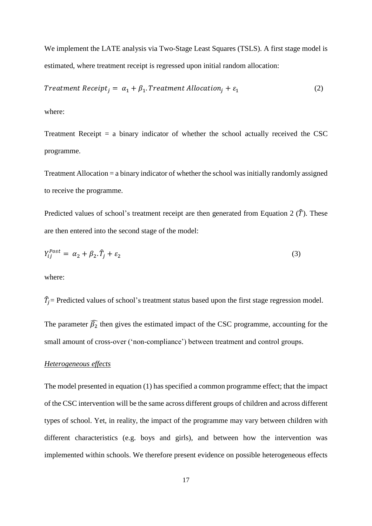We implement the LATE analysis via Two-Stage Least Squares (TSLS). A first stage model is estimated, where treatment receipt is regressed upon initial random allocation:

$$
Treatment\text{}(\text{Receipt}_{j} = \alpha_{1} + \beta_{1}.Treatment\text{}Allocation_{j} + \varepsilon_{1} \tag{2}
$$

where:

Treatment Receipt  $=$  a binary indicator of whether the school actually received the CSC programme.

Treatment Allocation = a binary indicator of whether the school was initially randomly assigned to receive the programme.

Predicted values of school's treatment receipt are then generated from Equation 2  $(\hat{T})$ . These are then entered into the second stage of the model:

$$
Y_{ij}^{Post} = \alpha_2 + \beta_2 \cdot \hat{T}_j + \varepsilon_2 \tag{3}
$$

where:

 $\hat{T}_j$  = Predicted values of school's treatment status based upon the first stage regression model.

The parameter  $\widehat{\beta_2}$  then gives the estimated impact of the CSC programme, accounting for the small amount of cross-over ('non-compliance') between treatment and control groups.

# *Heterogeneous effects*

The model presented in equation (1) has specified a common programme effect; that the impact of the CSC intervention will be the same across different groups of children and across different types of school. Yet, in reality, the impact of the programme may vary between children with different characteristics (e.g. boys and girls), and between how the intervention was implemented within schools. We therefore present evidence on possible heterogeneous effects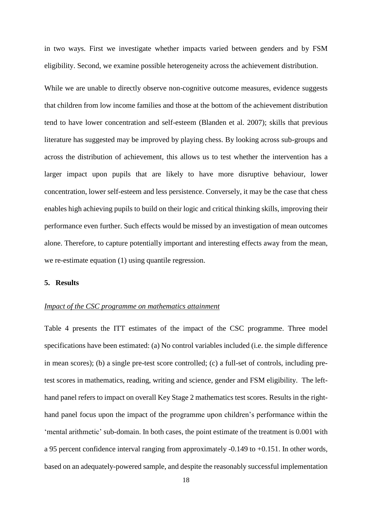in two ways. First we investigate whether impacts varied between genders and by FSM eligibility. Second, we examine possible heterogeneity across the achievement distribution.

While we are unable to directly observe non-cognitive outcome measures, evidence suggests that children from low income families and those at the bottom of the achievement distribution tend to have lower concentration and self-esteem (Blanden et al. 2007); skills that previous literature has suggested may be improved by playing chess. By looking across sub-groups and across the distribution of achievement, this allows us to test whether the intervention has a larger impact upon pupils that are likely to have more disruptive behaviour, lower concentration, lower self-esteem and less persistence. Conversely, it may be the case that chess enables high achieving pupils to build on their logic and critical thinking skills, improving their performance even further. Such effects would be missed by an investigation of mean outcomes alone. Therefore, to capture potentially important and interesting effects away from the mean, we re-estimate equation (1) using quantile regression.

#### **5. Results**

# *Impact of the CSC programme on mathematics attainment*

Table 4 presents the ITT estimates of the impact of the CSC programme. Three model specifications have been estimated: (a) No control variables included (i.e. the simple difference in mean scores); (b) a single pre-test score controlled; (c) a full-set of controls, including pretest scores in mathematics, reading, writing and science, gender and FSM eligibility. The lefthand panel refers to impact on overall Key Stage 2 mathematics test scores. Results in the righthand panel focus upon the impact of the programme upon children's performance within the 'mental arithmetic' sub-domain. In both cases, the point estimate of the treatment is 0.001 with a 95 percent confidence interval ranging from approximately -0.149 to +0.151. In other words, based on an adequately-powered sample, and despite the reasonably successful implementation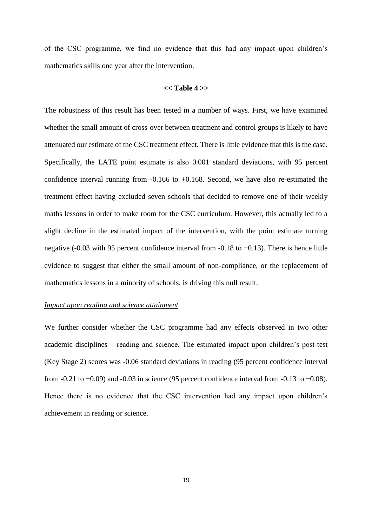of the CSC programme, we find no evidence that this had any impact upon children's mathematics skills one year after the intervention.

# **<< Table 4 >>**

The robustness of this result has been tested in a number of ways. First, we have examined whether the small amount of cross-over between treatment and control groups is likely to have attenuated our estimate of the CSC treatment effect. There is little evidence that this is the case. Specifically, the LATE point estimate is also 0.001 standard deviations, with 95 percent confidence interval running from  $-0.166$  to  $+0.168$ . Second, we have also re-estimated the treatment effect having excluded seven schools that decided to remove one of their weekly maths lessons in order to make room for the CSC curriculum. However, this actually led to a slight decline in the estimated impact of the intervention, with the point estimate turning negative (-0.03 with 95 percent confidence interval from -0.18 to +0.13). There is hence little evidence to suggest that either the small amount of non-compliance, or the replacement of mathematics lessons in a minority of schools, is driving this null result.

# *Impact upon reading and science attainment*

We further consider whether the CSC programme had any effects observed in two other academic disciplines – reading and science. The estimated impact upon children's post-test (Key Stage 2) scores was -0.06 standard deviations in reading (95 percent confidence interval from  $-0.21$  to  $+0.09$ ) and  $-0.03$  in science (95 percent confidence interval from  $-0.13$  to  $+0.08$ ). Hence there is no evidence that the CSC intervention had any impact upon children's achievement in reading or science.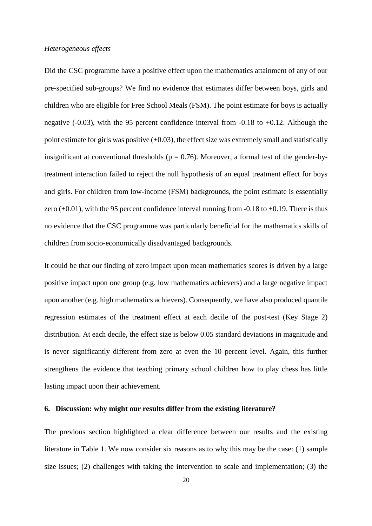### *Heterogeneous effects*

Did the CSC programme have a positive effect upon the mathematics attainment of any of our pre-specified sub-groups? We find no evidence that estimates differ between boys, girls and children who are eligible for Free School Meals (FSM). The point estimate for boys is actually negative  $(-0.03)$ , with the 95 percent confidence interval from  $-0.18$  to  $+0.12$ . Although the point estimate for girls was positive (+0.03), the effect size was extremely small and statistically insignificant at conventional thresholds ( $p = 0.76$ ). Moreover, a formal test of the gender-bytreatment interaction failed to reject the null hypothesis of an equal treatment effect for boys and girls. For children from low-income (FSM) backgrounds, the point estimate is essentially zero  $(+0.01)$ , with the 95 percent confidence interval running from  $-0.18$  to  $+0.19$ . There is thus no evidence that the CSC programme was particularly beneficial for the mathematics skills of children from socio-economically disadvantaged backgrounds.

It could be that our finding of zero impact upon mean mathematics scores is driven by a large positive impact upon one group (e.g. low mathematics achievers) and a large negative impact upon another (e.g. high mathematics achievers). Consequently, we have also produced quantile regression estimates of the treatment effect at each decile of the post-test (Key Stage 2) distribution. At each decile, the effect size is below 0.05 standard deviations in magnitude and is never significantly different from zero at even the 10 percent level. Again, this further strengthens the evidence that teaching primary school children how to play chess has little lasting impact upon their achievement.

# **6. Discussion: why might our results differ from the existing literature?**

The previous section highlighted a clear difference between our results and the existing literature in Table 1. We now consider six reasons as to why this may be the case: (1) sample size issues; (2) challenges with taking the intervention to scale and implementation; (3) the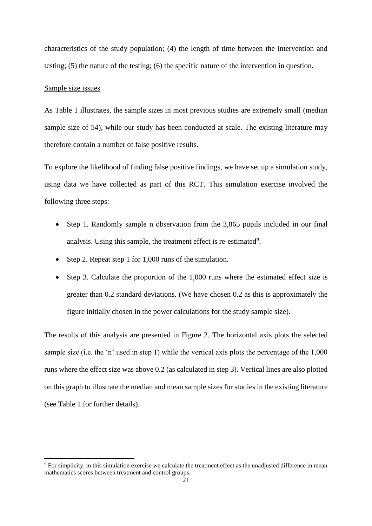characteristics of the study population; (4) the length of time between the intervention and testing; (5) the nature of the testing; (6) the specific nature of the intervention in question.

# Sample size issues

 $\overline{\phantom{a}}$ 

As Table 1 illustrates, the sample sizes in most previous studies are extremely small (median sample size of 54), while our study has been conducted at scale. The existing literature may therefore contain a number of false positive results.

To explore the likelihood of finding false positive findings, we have set up a simulation study, using data we have collected as part of this RCT. This simulation exercise involved the following three steps:

- Step 1. Randomly sample n observation from the 3,865 pupils included in our final analysis. Using this sample, the treatment effect is re-estimated<sup>9</sup>.
- Step 2. Repeat step 1 for 1,000 runs of the simulation.
- Step 3. Calculate the proportion of the 1,000 runs where the estimated effect size is greater than 0.2 standard deviations. (We have chosen 0.2 as this is approximately the figure initially chosen in the power calculations for the study sample size).

The results of this analysis are presented in Figure 2. The horizontal axis plots the selected sample size (i.e. the 'n' used in step 1) while the vertical axis plots the percentage of the 1,000 runs where the effect size was above 0.2 (as calculated in step 3). Vertical lines are also plotted on this graph to illustrate the median and mean sample sizes for studies in the existing literature (see Table 1 for further details).

<sup>9</sup> For simplicity, in this simulation exercise we calculate the treatment effect as the unadjusted difference in mean mathematics scores between treatment and control groups.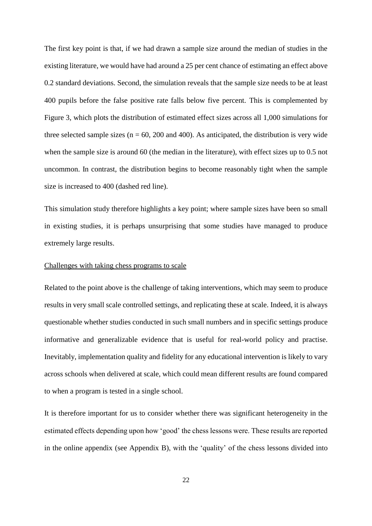The first key point is that, if we had drawn a sample size around the median of studies in the existing literature, we would have had around a 25 per cent chance of estimating an effect above 0.2 standard deviations. Second, the simulation reveals that the sample size needs to be at least 400 pupils before the false positive rate falls below five percent. This is complemented by Figure 3, which plots the distribution of estimated effect sizes across all 1,000 simulations for three selected sample sizes ( $n = 60$ , 200 and 400). As anticipated, the distribution is very wide when the sample size is around 60 (the median in the literature), with effect sizes up to 0.5 not uncommon. In contrast, the distribution begins to become reasonably tight when the sample size is increased to 400 (dashed red line).

This simulation study therefore highlights a key point; where sample sizes have been so small in existing studies, it is perhaps unsurprising that some studies have managed to produce extremely large results.

### Challenges with taking chess programs to scale

Related to the point above is the challenge of taking interventions, which may seem to produce results in very small scale controlled settings, and replicating these at scale. Indeed, it is always questionable whether studies conducted in such small numbers and in specific settings produce informative and generalizable evidence that is useful for real-world policy and practise. Inevitably, implementation quality and fidelity for any educational intervention is likely to vary across schools when delivered at scale, which could mean different results are found compared to when a program is tested in a single school.

It is therefore important for us to consider whether there was significant heterogeneity in the estimated effects depending upon how 'good' the chess lessons were. These results are reported in the online appendix (see Appendix B), with the 'quality' of the chess lessons divided into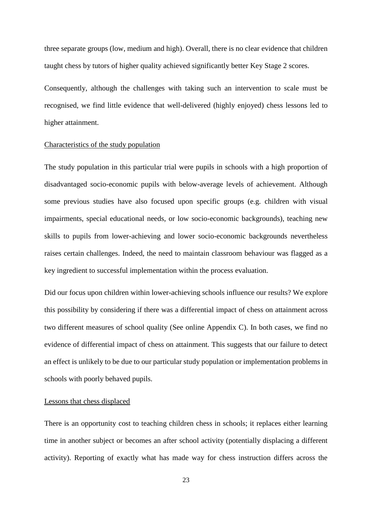three separate groups (low, medium and high). Overall, there is no clear evidence that children taught chess by tutors of higher quality achieved significantly better Key Stage 2 scores.

Consequently, although the challenges with taking such an intervention to scale must be recognised, we find little evidence that well-delivered (highly enjoyed) chess lessons led to higher attainment.

# Characteristics of the study population

The study population in this particular trial were pupils in schools with a high proportion of disadvantaged socio-economic pupils with below-average levels of achievement. Although some previous studies have also focused upon specific groups (e.g. children with visual impairments, special educational needs, or low socio-economic backgrounds), teaching new skills to pupils from lower-achieving and lower socio-economic backgrounds nevertheless raises certain challenges. Indeed, the need to maintain classroom behaviour was flagged as a key ingredient to successful implementation within the process evaluation.

Did our focus upon children within lower-achieving schools influence our results? We explore this possibility by considering if there was a differential impact of chess on attainment across two different measures of school quality (See online Appendix C). In both cases, we find no evidence of differential impact of chess on attainment. This suggests that our failure to detect an effect is unlikely to be due to our particular study population or implementation problems in schools with poorly behaved pupils.

### Lessons that chess displaced

There is an opportunity cost to teaching children chess in schools; it replaces either learning time in another subject or becomes an after school activity (potentially displacing a different activity). Reporting of exactly what has made way for chess instruction differs across the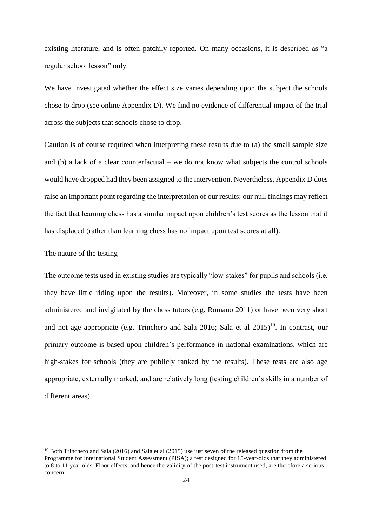existing literature, and is often patchily reported. On many occasions, it is described as "a regular school lesson" only.

We have investigated whether the effect size varies depending upon the subject the schools chose to drop (see online Appendix D). We find no evidence of differential impact of the trial across the subjects that schools chose to drop.

Caution is of course required when interpreting these results due to (a) the small sample size and (b) a lack of a clear counterfactual – we do not know what subjects the control schools would have dropped had they been assigned to the intervention. Nevertheless, Appendix D does raise an important point regarding the interpretation of our results; our null findings may reflect the fact that learning chess has a similar impact upon children's test scores as the lesson that it has displaced (rather than learning chess has no impact upon test scores at all).

# The nature of the testing

 $\overline{a}$ 

The outcome tests used in existing studies are typically "low-stakes" for pupils and schools (i.e. they have little riding upon the results). Moreover, in some studies the tests have been administered and invigilated by the chess tutors (e.g. Romano 2011) or have been very short and not age appropriate (e.g. Trinchero and Sala 2016; Sala et al  $2015)^{10}$ . In contrast, our primary outcome is based upon children's performance in national examinations, which are high-stakes for schools (they are publicly ranked by the results). These tests are also age appropriate, externally marked, and are relatively long (testing children's skills in a number of different areas).

<sup>&</sup>lt;sup>10</sup> Both Trinchero and Sala (2016) and Sala et al (2015) use just seven of the released question from the Programme for International Student Assessment (PISA); a test designed for 15-year-olds that they administered to 8 to 11 year olds. Floor effects, and hence the validity of the post-test instrument used, are therefore a serious concern.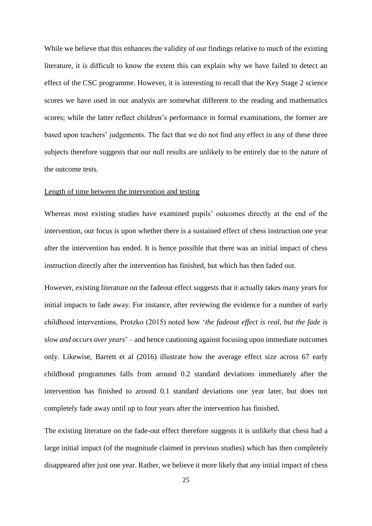While we believe that this enhances the validity of our findings relative to much of the existing literature, it is difficult to know the extent this can explain why we have failed to detect an effect of the CSC programme. However, it is interesting to recall that the Key Stage 2 science scores we have used in our analysis are somewhat different to the reading and mathematics scores; while the latter reflect children's performance in formal examinations, the former are based upon teachers' judgements. The fact that we do not find any effect in any of these three subjects therefore suggests that our null results are unlikely to be entirely due to the nature of the outcome tests.

#### Length of time between the intervention and testing

Whereas most existing studies have examined pupils' outcomes directly at the end of the intervention, our focus is upon whether there is a sustained effect of chess instruction one year after the intervention has ended. It is hence possible that there was an initial impact of chess instruction directly after the intervention has finished, but which has then faded out.

However, existing literature on the fadeout effect suggests that it actually takes many years for initial impacts to fade away. For instance, after reviewing the evidence for a number of early childhood interventions, Protzko (2015) noted how '*the fadeout effect is real, but the fade is slow and occurs over years*' – and hence cautioning against focusing upon immediate outcomes only. Likewise, Barrett et al (2016) illustrate how the average effect size across 67 early childhood programmes falls from around 0.2 standard deviations immediately after the intervention has finished to around 0.1 standard deviations one year later, but does not completely fade away until up to four years after the intervention has finished.

The existing literature on the fade-out effect therefore suggests it is unlikely that chess had a large initial impact (of the magnitude claimed in previous studies) which has then completely disappeared after just one year. Rather, we believe it more likely that any initial impact of chess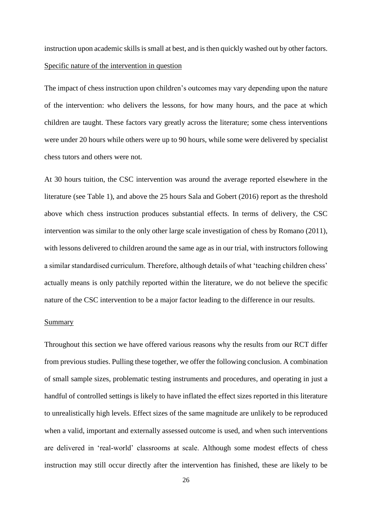instruction upon academic skills is small at best, and is then quickly washed out by other factors. Specific nature of the intervention in question

The impact of chess instruction upon children's outcomes may vary depending upon the nature of the intervention: who delivers the lessons, for how many hours, and the pace at which children are taught. These factors vary greatly across the literature; some chess interventions were under 20 hours while others were up to 90 hours, while some were delivered by specialist chess tutors and others were not.

At 30 hours tuition, the CSC intervention was around the average reported elsewhere in the literature (see Table 1), and above the 25 hours Sala and Gobert (2016) report as the threshold above which chess instruction produces substantial effects. In terms of delivery, the CSC intervention was similar to the only other large scale investigation of chess by Romano (2011), with lessons delivered to children around the same age as in our trial, with instructors following a similar standardised curriculum. Therefore, although details of what 'teaching children chess' actually means is only patchily reported within the literature, we do not believe the specific nature of the CSC intervention to be a major factor leading to the difference in our results.

#### Summary

Throughout this section we have offered various reasons why the results from our RCT differ from previous studies. Pulling these together, we offer the following conclusion. A combination of small sample sizes, problematic testing instruments and procedures, and operating in just a handful of controlled settings is likely to have inflated the effect sizes reported in this literature to unrealistically high levels. Effect sizes of the same magnitude are unlikely to be reproduced when a valid, important and externally assessed outcome is used, and when such interventions are delivered in 'real-world' classrooms at scale. Although some modest effects of chess instruction may still occur directly after the intervention has finished, these are likely to be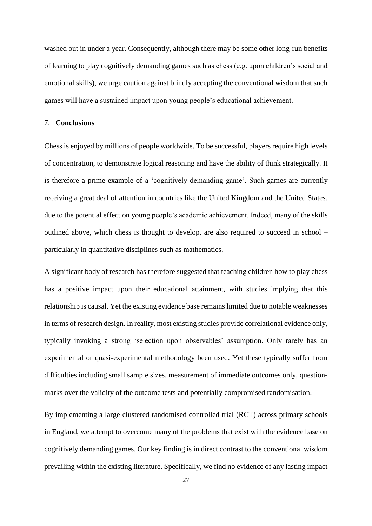washed out in under a year. Consequently, although there may be some other long-run benefits of learning to play cognitively demanding games such as chess (e.g. upon children's social and emotional skills), we urge caution against blindly accepting the conventional wisdom that such games will have a sustained impact upon young people's educational achievement.

### 7. **Conclusions**

Chess is enjoyed by millions of people worldwide. To be successful, players require high levels of concentration, to demonstrate logical reasoning and have the ability of think strategically. It is therefore a prime example of a 'cognitively demanding game'. Such games are currently receiving a great deal of attention in countries like the United Kingdom and the United States, due to the potential effect on young people's academic achievement. Indeed, many of the skills outlined above, which chess is thought to develop, are also required to succeed in school – particularly in quantitative disciplines such as mathematics.

A significant body of research has therefore suggested that teaching children how to play chess has a positive impact upon their educational attainment, with studies implying that this relationship is causal. Yet the existing evidence base remains limited due to notable weaknesses in terms of research design. In reality, most existing studies provide correlational evidence only, typically invoking a strong 'selection upon observables' assumption. Only rarely has an experimental or quasi-experimental methodology been used. Yet these typically suffer from difficulties including small sample sizes, measurement of immediate outcomes only, questionmarks over the validity of the outcome tests and potentially compromised randomisation.

By implementing a large clustered randomised controlled trial (RCT) across primary schools in England, we attempt to overcome many of the problems that exist with the evidence base on cognitively demanding games. Our key finding is in direct contrast to the conventional wisdom prevailing within the existing literature. Specifically, we find no evidence of any lasting impact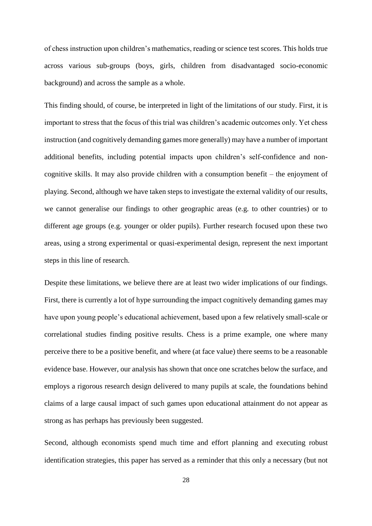of chess instruction upon children's mathematics, reading or science test scores. This holds true across various sub-groups (boys, girls, children from disadvantaged socio-economic background) and across the sample as a whole.

This finding should, of course, be interpreted in light of the limitations of our study. First, it is important to stress that the focus of this trial was children's academic outcomes only. Yet chess instruction (and cognitively demanding games more generally) may have a number of important additional benefits, including potential impacts upon children's self-confidence and noncognitive skills. It may also provide children with a consumption benefit – the enjoyment of playing. Second, although we have taken steps to investigate the external validity of our results, we cannot generalise our findings to other geographic areas (e.g. to other countries) or to different age groups (e.g. younger or older pupils). Further research focused upon these two areas, using a strong experimental or quasi-experimental design, represent the next important steps in this line of research.

Despite these limitations, we believe there are at least two wider implications of our findings. First, there is currently a lot of hype surrounding the impact cognitively demanding games may have upon young people's educational achievement, based upon a few relatively small-scale or correlational studies finding positive results. Chess is a prime example, one where many perceive there to be a positive benefit, and where (at face value) there seems to be a reasonable evidence base. However, our analysis has shown that once one scratches below the surface, and employs a rigorous research design delivered to many pupils at scale, the foundations behind claims of a large causal impact of such games upon educational attainment do not appear as strong as has perhaps has previously been suggested.

Second, although economists spend much time and effort planning and executing robust identification strategies, this paper has served as a reminder that this only a necessary (but not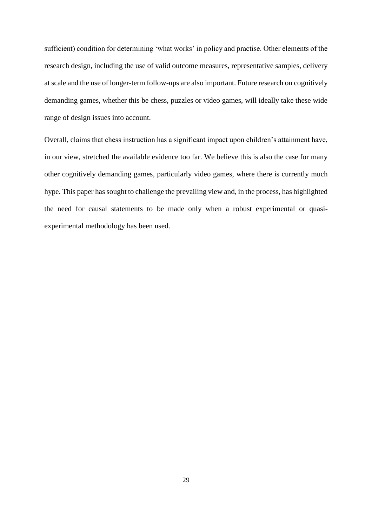sufficient) condition for determining 'what works' in policy and practise. Other elements of the research design, including the use of valid outcome measures, representative samples, delivery at scale and the use of longer-term follow-ups are also important. Future research on cognitively demanding games, whether this be chess, puzzles or video games, will ideally take these wide range of design issues into account.

Overall, claims that chess instruction has a significant impact upon children's attainment have, in our view, stretched the available evidence too far. We believe this is also the case for many other cognitively demanding games, particularly video games, where there is currently much hype. This paper has sought to challenge the prevailing view and, in the process, has highlighted the need for causal statements to be made only when a robust experimental or quasiexperimental methodology has been used.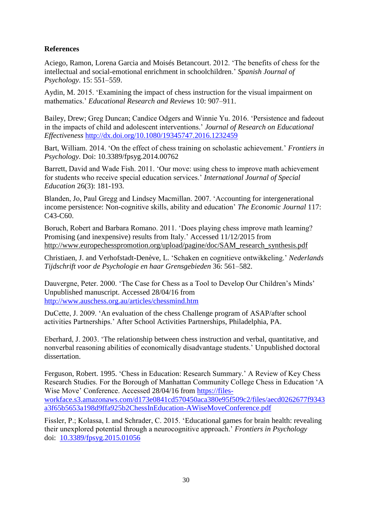# **References**

Aciego, Ramon, Lorena Garcia and Moisés Betancourt. 2012. 'The benefits of chess for the intellectual and social-emotional enrichment in schoolchildren.' *Spanish Journal of Psychology*. 15: 551–559.

Aydin, M. 2015. 'Examining the impact of chess instruction for the visual impairment on mathematics.' *Educational Research and Reviews* 10: 907–911.

Bailey, Drew; Greg Duncan; Candice Odgers and Winnie Yu. 2016. 'Persistence and fadeout in the impacts of child and adolescent interventions.' *Journal of Research on Educational Effectiveness* <http://dx.doi.org/10.1080/19345747.2016.1232459>

Bart, William. 2014. 'On the effect of chess training on scholastic achievement.' *Frontiers in Psychology*. Doi: 10.3389/fpsyg.2014.00762

Barrett, David and Wade Fish. 2011. 'Our move: using chess to improve math achievement for students who receive special education services.' *International Journal of Special Education* 26(3): 181-193.

Blanden, Jo, Paul Gregg and Lindsey Macmillan. 2007. 'Accounting for intergenerational income persistence: Non-cognitive skills, ability and education' *The Economic Journal* 117: C43-C60.

Boruch, Robert and Barbara Romano. 2011. 'Does playing chess improve math learning? Promising (and inexpensive) results from Italy.' Accessed 11/12/2015 from [http://www.europechesspromotion.org/upload/pagine/doc/SAM\\_research\\_synthesis.pdf](http://www.europechesspromotion.org/upload/pagine/doc/SAM_research_synthesis.pdf)

Christiaen, J. and Verhofstadt-Denève, L. 'Schaken en cognitieve ontwikkeling.' *Nederlands Tijdschrift voor de Psychologie en haar Grensgebieden* 36: 561–582.

Dauvergne, Peter. 2000. 'The Case for Chess as a Tool to Develop Our Children's Minds' Unpublished manuscript. Accessed 28/04/16 from <http://www.auschess.org.au/articles/chessmind.htm>

DuCette, J. 2009. 'An evaluation of the chess Challenge program of ASAP/after school activities Partnerships.' After School Activities Partnerships, Philadelphia, PA.

Eberhard, J. 2003. 'The relationship between chess instruction and verbal, quantitative, and nonverbal reasoning abilities of economically disadvantage students.' Unpublished doctoral dissertation.

Ferguson, Robert. 1995. 'Chess in Education: Research Summary.' A Review of Key Chess Research Studies. For the Borough of Manhattan Community College Chess in Education 'A Wise Move' Conference. Accessed 28/04/16 from [https://files](https://files-workface.s3.amazonaws.com/d173e0841cd570450aca380e95f509c2/files/aecd0262677f9343a3f65b5653a198d9ffa925b2ChessInEducation-AWiseMoveConference.pdf)[workface.s3.amazonaws.com/d173e0841cd570450aca380e95f509c2/files/aecd0262677f9343](https://files-workface.s3.amazonaws.com/d173e0841cd570450aca380e95f509c2/files/aecd0262677f9343a3f65b5653a198d9ffa925b2ChessInEducation-AWiseMoveConference.pdf) [a3f65b5653a198d9ffa925b2ChessInEducation-AWiseMoveConference.pdf](https://files-workface.s3.amazonaws.com/d173e0841cd570450aca380e95f509c2/files/aecd0262677f9343a3f65b5653a198d9ffa925b2ChessInEducation-AWiseMoveConference.pdf)

Fissler, P.; Kolassa, I. and Schrader, C. 2015. 'Educational games for brain health: revealing their unexplored potential through a neurocognitive approach.' *Frontiers in Psychology*  doi: [10.3389/fpsyg.2015.01056](https://dx.doi.org/10.3389%2Ffpsyg.2015.01056)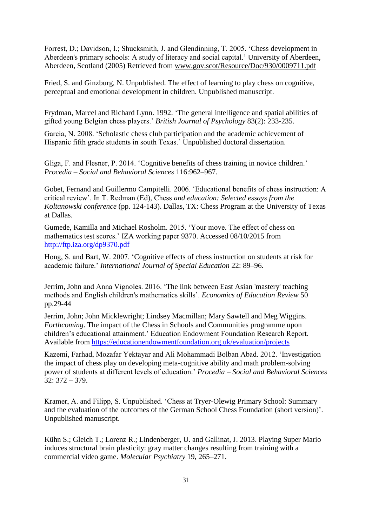Forrest, D.; Davidson, I.; Shucksmith, J. and Glendinning, T. 2005. 'Chess development in Aberdeen's primary schools: A study of literacy and social capital.' University of Aberdeen, Aberdeen, Scotland (2005) Retrieved from [www.gov.scot/Resource/Doc/930/0009711.pdf](http://www.gov.scot/Resource/Doc/930/0009711.pdf)

Fried, S. and Ginzburg, N. Unpublished. The effect of learning to play chess on cognitive, perceptual and emotional development in children. Unpublished manuscript.

Frydman, Marcel and Richard Lynn. 1992. 'The general intelligence and spatial abilities of gifted young Belgian chess players.' *British Journal of Psychology* 83(2): 233-235.

Garcia, N. 2008. 'Scholastic chess club participation and the academic achievement of Hispanic fifth grade students in south Texas.' Unpublished doctoral dissertation.

Gliga, F. and Flesner, P. 2014. 'Cognitive benefits of chess training in novice children.' *Procedia – Social and Behavioral Sciences* 116:962–967.

Gobet, Fernand and Guillermo Campitelli. 2006. 'Educational benefits of chess instruction: A critical review'. In T. Redman (Ed), Chess *and education: Selected essays from the Koltanowski conference* (pp. 124-143). Dallas, TX: Chess Program at the University of Texas at Dallas.

Gumede, Kamilla and Michael Rosholm. 2015. 'Your move. The effect of chess on mathematics test scores.' IZA working paper 9370. Accessed 08/10/2015 from <http://ftp.iza.org/dp9370.pdf>

Hong, S. and Bart, W. 2007. 'Cognitive effects of chess instruction on students at risk for academic failure.' *International Journal of Special Education* 22: 89–96.

Jerrim, John and Anna Vignoles. 2016. 'The link between East Asian 'mastery' teaching methods and English children's mathematics skills'. *Economics of Education Review* 50 pp.29-44

Jerrim, John; John Micklewright; Lindsey Macmillan; Mary Sawtell and Meg Wiggins. *Forthcoming*. The impact of the Chess in Schools and Communities programme upon children's educational attainment.' Education Endowment Foundation Research Report. Available from<https://educationendowmentfoundation.org.uk/evaluation/projects>

Kazemi, Farhad, Mozafar Yektayar and Ali Mohammadi Bolban Abad. 2012. 'Investigation the impact of chess play on developing meta-cognitive ability and math problem-solving power of students at different levels of education.' *Procedia – Social and Behavioral Sciences* 32: 372 – 379.

Kramer, A. and Filipp, S. Unpublished. 'Chess at Tryer-Olewig Primary School: Summary and the evaluation of the outcomes of the German School Chess Foundation (short version)'. Unpublished manuscript.

Kühn S.; Gleich T.; Lorenz R.; Lindenberger, U. and Gallinat, J. 2013. Playing Super Mario induces structural brain plasticity: gray matter changes resulting from training with a commercial video game. *Molecular Psychiatry* 19, 265–271.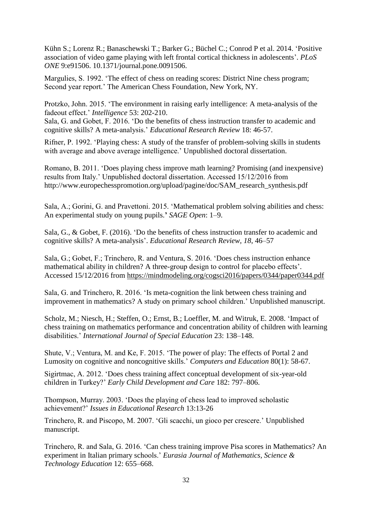Kühn S.; Lorenz R.; Banaschewski T.; Barker G.; Büchel C.; Conrod P et al. 2014. 'Positive association of video game playing with left frontal cortical thickness in adolescents'. *PLoS ONE* 9:e91506. 10.1371/journal.pone.0091506.

Margulies, S. 1992. 'The effect of chess on reading scores: District Nine chess program; Second year report.' The American Chess Foundation, New York, NY.

Protzko, John. 2015. 'The environment in raising early intelligence: A meta-analysis of the fadeout effect.' *Intelligence* 53: 202-210.

Sala, G. and Gobet, F. 2016. 'Do the benefits of chess instruction transfer to academic and cognitive skills? A meta-analysis.' *Educational Research Review* 18: 46-57.

Rifner, P. 1992. 'Playing chess: A study of the transfer of problem-solving skills in students with average and above average intelligence.' Unpublished doctoral dissertation.

Romano, B. 2011. 'Does playing chess improve math learning? Promising (and inexpensive) results from Italy.' Unpublished doctoral dissertation. Accessed 15/12/2016 from http://www.europechesspromotion.org/upload/pagine/doc/SAM\_research\_synthesis.pdf

Sala, A.; Gorini, G. and Pravettoni. 2015. 'Mathematical problem solving abilities and chess: An experimental study on young pupils.**'** *SAGE Open*: 1–9.

Sala, G., & Gobet, F. (2016). 'Do the benefits of chess instruction transfer to academic and cognitive skills? A meta-analysis'. *Educational Research Review, 18*, 46–57

Sala, G.; Gobet, F.; Trinchero, R. and Ventura, S. 2016. 'Does chess instruction enhance mathematical ability in children? A three-group design to control for placebo effects'. Accessed 15/12/2016 from<https://mindmodeling.org/cogsci2016/papers/0344/paper0344.pdf>

Sala, G. and Trinchero, R. 2016. 'Is meta-cognition the link between chess training and improvement in mathematics? A study on primary school children.' Unpublished manuscript.

Scholz, M.; Niesch, H.; Steffen, O.; Ernst, B.; Loeffler, M. and Witruk, E. 2008. 'Impact of chess training on mathematics performance and concentration ability of children with learning disabilities.' *International Journal of Special Education* 23: 138–148.

Shute, V.; Ventura, M. and Ke, F. 2015. 'The power of play: The effects of Portal 2 and Lumosity on cognitive and noncognitive skills.' *Computers and Education* 80(1): 58-67.

Sigirtmac, A. 2012. 'Does chess training affect conceptual development of six-year-old children in Turkey?' *Early Child Development and Care* 182: 797–806.

Thompson, Murray. 2003. 'Does the playing of chess lead to improved scholastic achievement?' *Issues in Educational Research* 13:13-26

Trinchero, R. and Piscopo, M. 2007. 'Gli scacchi, un gioco per crescere.' Unpublished manuscript.

Trinchero, R. and Sala, G. 2016. 'Can chess training improve Pisa scores in Mathematics? An experiment in Italian primary schools.' *Eurasia Journal of Mathematics, Science & Technology Education* 12: 655–668.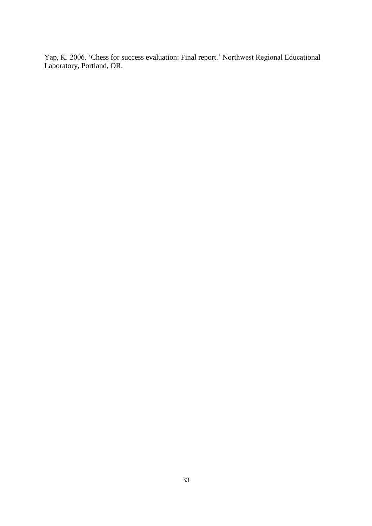Yap, K. 2006. 'Chess for success evaluation: Final report.' Northwest Regional Educational Laboratory, Portland, OR.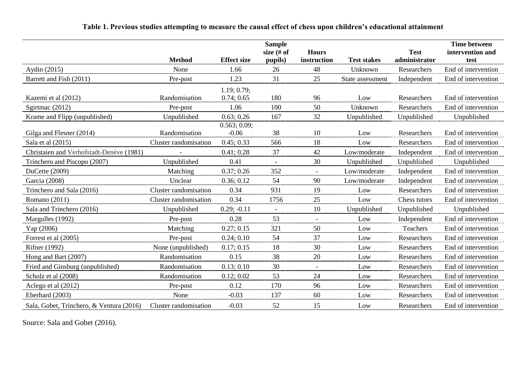|                                          |                              |                    | <b>Sample</b>            |                          |                    |               | <b>Time between</b> |
|------------------------------------------|------------------------------|--------------------|--------------------------|--------------------------|--------------------|---------------|---------------------|
|                                          |                              |                    | size $#$ of              | <b>Hours</b>             |                    | <b>Test</b>   | intervention and    |
|                                          | <b>Method</b>                | <b>Effect size</b> | pupils)                  | instruction              | <b>Test stakes</b> | administrator | test                |
| Aydin (2015)                             | None                         | 1.66               | 26                       | 48                       | Unknown            | Researchers   | End of intervention |
| Barrett and Fish (2011)                  | Pre-post                     | 1.23               | 31                       | 25                       | State assessment   | Independent   | End of intervention |
|                                          |                              | 1.19; 0.79;        |                          |                          |                    |               |                     |
| Kazemi et al (2012)                      | Randomisation                | 0.74; 0.65         | 180                      | 96                       | Low                | Researchers   | End of intervention |
| Sgirtmac (2012)                          | Pre-post                     | 1.06               | 100                      | 50                       | Unknown            | Researchers   | End of intervention |
| Krame and Flipp (unpublished)            | Unpublished                  | 0.63:0.26          | 167                      | 32                       | Unpublished        | Unpublished   | Unpublished         |
|                                          |                              | 0.563; 0.09;       |                          |                          |                    |               |                     |
| Gilga and Flesner (2014)                 | Randomisation                | $-0.06$            | 38                       | 10                       | Low                | Researchers   | End of intervention |
| Sala et al (2015)                        | <b>Cluster randomisation</b> | 0.45; 0.33         | 566                      | 18                       | Low                | Researchers   | End of intervention |
| Christaien and Verhofstadt-Denève (1981) |                              | 0.41; 0.28         | 37                       | 42                       | Low/moderate       | Independent   | End of intervention |
| Trinchero and Piscopo (2007)             | Unpublished                  | 0.41               | $\blacksquare$           | 30                       | Unpublished        | Unpublished   | Unpublished         |
| DuCette (2009)                           | Matching                     | 0.37;0.26          | 352                      | $\overline{\phantom{a}}$ | Low/moderate       | Independent   | End of intervention |
| Garcia (2008)                            | Unclear                      | 0.36; 0.12         | 54                       | 90                       | Low/moderate       | Independent   | End of intervention |
| Trinchero and Sala (2016)                | <b>Cluster randomisation</b> | 0.34               | 931                      | 19                       | Low                | Researchers   | End of intervention |
| Romano (2011)                            | Cluster randomisation        | 0.34               | 1756                     | 25                       | Low                | Chess tutors  | End of intervention |
| Sala and Trinchero (2016)                | Unpublished                  | $0.29; -0.11$      | $\overline{\phantom{a}}$ | 10                       | Unpublished        | Unpublished   | Unpublished         |
| Margulles (1992)                         | Pre-post                     | 0.28               | 53                       |                          | Low                | Independent   | End of intervention |
| Yap (2006)                               | Matching                     | 0.27; 0.15         | 321                      | 50                       | Low                | Teachers      | End of intervention |
| Forrest et al (2005)                     | Pre-post                     | 0.24; 0.10         | 54                       | 37                       | Low                | Researchers   | End of intervention |
| Rifner (1992)                            | None (unpublished)           | 0.17; 0.15         | 18                       | 30                       | Low                | Researchers   | End of intervention |
| Hong and Bart (2007)                     | Randomisation                | 0.15               | 38                       | 20                       | Low                | Researchers   | End of intervention |
| Fried and Ginsburg (unpublished)         | Randomisation                | 0.13; 0.10         | 30                       |                          | Low                | Researchers   | End of intervention |
| Scholz et al (2008)                      | Randomisation                | 0.12; 0.02         | 53                       | 24                       | Low                | Researchers   | End of intervention |
| Aclego et al (2012)                      | Pre-post                     | 0.12               | 170                      | 96                       | Low                | Researchers   | End of intervention |
| Eberhard (2003)                          | None                         | $-0.03$            | 137                      | 60                       | Low                | Researchers   | End of intervention |
| Sala, Gobet, Trinchero, & Ventura (2016) | Cluster randomisation        | $-0.03$            | 52                       | 15                       | Low                | Researchers   | End of intervention |

# **Table 1. Previous studies attempting to measure the causal effect of chess upon children's educational attainment**

Source: Sala and Gobet (2016).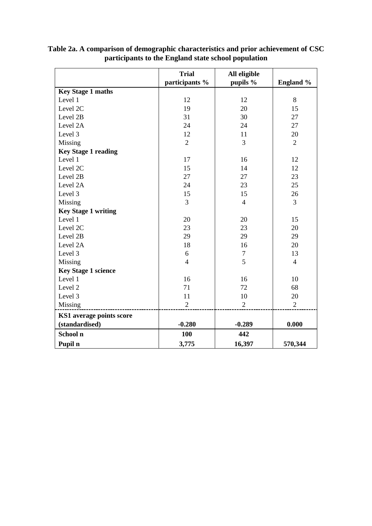|                            | <b>Trial</b><br>participants % | All eligible<br>pupils % | <b>England %</b> |
|----------------------------|--------------------------------|--------------------------|------------------|
| <b>Key Stage 1 maths</b>   |                                |                          |                  |
| Level 1                    | 12                             | 12                       | 8                |
| Level 2C                   | 19                             | 20                       | 15               |
| Level 2B                   | 31                             | 30                       | 27               |
| Level 2A                   | 24                             | 24                       | 27               |
| Level 3                    | 12                             | 11                       | 20               |
| Missing                    | $\overline{2}$                 | 3                        | $\overline{2}$   |
| <b>Key Stage 1 reading</b> |                                |                          |                  |
| Level 1                    | 17                             | 16                       | 12               |
| Level 2C                   | 15                             | 14                       | 12               |
| Level 2B                   | 27                             | 27                       | 23               |
| Level 2A                   | 24                             | 23                       | 25               |
| Level 3                    | 15                             | 15                       | 26               |
| Missing                    | 3                              | $\overline{4}$           | $\overline{3}$   |
| <b>Key Stage 1 writing</b> |                                |                          |                  |
| Level 1                    | 20                             | 20                       | 15               |
| Level 2C                   | 23                             | 23                       | 20               |
| Level 2B                   | 29                             | 29                       | 29               |
| Level 2A                   | 18                             | 16                       | 20               |
| Level 3                    | 6                              | $\overline{7}$           | 13               |
| Missing                    | $\overline{4}$                 | 5                        | $\overline{4}$   |
| <b>Key Stage 1 science</b> |                                |                          |                  |
| Level 1                    | 16                             | 16                       | 10               |
| Level 2                    | 71                             | 72                       | 68               |
| Level 3                    | 11                             | 10                       | 20               |
| Missing                    | $\mathbf{2}$                   | $\mathbf{2}$             | $\sqrt{2}$       |
| KS1 average points score   |                                |                          |                  |
| (standardised)             | $-0.280$                       | $-0.289$                 | 0.000            |
| School n                   | 100                            | 442                      |                  |
| Pupil n                    | 3,775                          | 16,397                   | 570,344          |

**Table 2a. A comparison of demographic characteristics and prior achievement of CSC participants to the England state school population**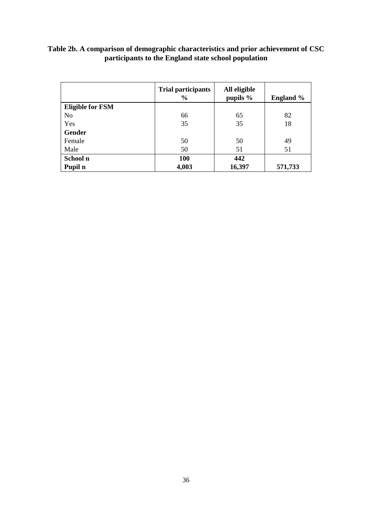**Table 2b. A comparison of demographic characteristics and prior achievement of CSC participants to the England state school population**

|                         | <b>Trial participants</b><br>$\frac{0}{0}$ | All eligible<br>pupils % | <b>England</b> % |
|-------------------------|--------------------------------------------|--------------------------|------------------|
| <b>Eligible for FSM</b> |                                            |                          |                  |
| No                      | 66                                         | 65                       | 82               |
| Yes                     | 35                                         | 35                       | 18               |
| <b>Gender</b>           |                                            |                          |                  |
| Female                  | 50                                         | 50                       | 49               |
| Male                    | 50                                         | 51                       | 51               |
| School n                | <b>100</b>                                 | 442                      |                  |
| Pupil n                 | 4,003                                      | 16,397                   | 571,733          |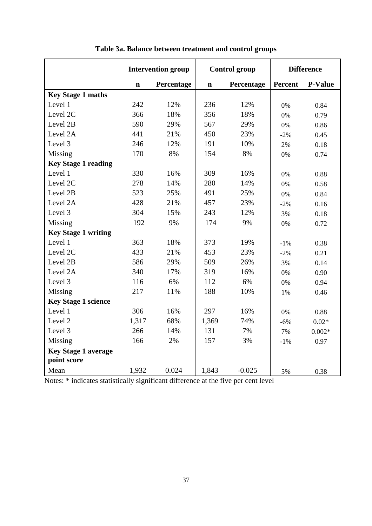|                            | <b>Intervention group</b> |            | <b>Control</b> group |            | <b>Difference</b> |                |
|----------------------------|---------------------------|------------|----------------------|------------|-------------------|----------------|
|                            | $\mathbf n$               | Percentage | $\mathbf n$          | Percentage | <b>Percent</b>    | <b>P-Value</b> |
| <b>Key Stage 1 maths</b>   |                           |            |                      |            |                   |                |
| Level 1                    | 242                       | 12%        | 236                  | 12%        | 0%                | 0.84           |
| Level 2C                   | 366                       | 18%        | 356                  | 18%        | 0%                | 0.79           |
| Level 2B                   | 590                       | 29%        | 567                  | 29%        | 0%                | 0.86           |
| Level 2A                   | 441                       | 21%        | 450                  | 23%        | $-2%$             | 0.45           |
| Level 3                    | 246                       | 12%        | 191                  | 10%        | 2%                | 0.18           |
| Missing                    | 170                       | 8%         | 154                  | 8%         | 0%                | 0.74           |
| <b>Key Stage 1 reading</b> |                           |            |                      |            |                   |                |
| Level 1                    | 330                       | 16%        | 309                  | 16%        | 0%                | 0.88           |
| Level 2C                   | 278                       | 14%        | 280                  | 14%        | 0%                | 0.58           |
| Level 2B                   | 523                       | 25%        | 491                  | 25%        | 0%                | 0.84           |
| Level 2A                   | 428                       | 21%        | 457                  | 23%        | $-2%$             | 0.16           |
| Level 3                    | 304                       | 15%        | 243                  | 12%        | 3%                | 0.18           |
| Missing                    | 192                       | 9%         | 174                  | 9%         | 0%                | 0.72           |
| <b>Key Stage 1 writing</b> |                           |            |                      |            |                   |                |
| Level 1                    | 363                       | 18%        | 373                  | 19%        | $-1%$             | 0.38           |
| Level 2C                   | 433                       | 21%        | 453                  | 23%        | $-2%$             | 0.21           |
| Level 2B                   | 586                       | 29%        | 509                  | 26%        | 3%                | 0.14           |
| Level 2A                   | 340                       | 17%        | 319                  | 16%        | 0%                | 0.90           |
| Level 3                    | 116                       | 6%         | 112                  | 6%         | 0%                | 0.94           |
| Missing                    | 217                       | 11%        | 188                  | 10%        | 1%                | 0.46           |
| <b>Key Stage 1 science</b> |                           |            |                      |            |                   |                |
| Level 1                    | 306                       | 16%        | 297                  | 16%        | 0%                | 0.88           |
| Level 2                    | 1,317                     | 68%        | 1,369                | 74%        | $-6%$             | $0.02*$        |
| Level 3                    | 266                       | 14%        | 131                  | 7%         | 7%                | $0.002*$       |
| Missing                    | 166                       | 2%         | 157                  | 3%         | $-1%$             | 0.97           |
| <b>Key Stage 1 average</b> |                           |            |                      |            |                   |                |
| point score                |                           |            |                      |            |                   |                |
| Mean                       | 1,932                     | 0.024      | 1,843                | $-0.025$   | 5%                | 0.38           |

**Table 3a. Balance between treatment and control groups** 

Notes: \* indicates statistically significant difference at the five per cent level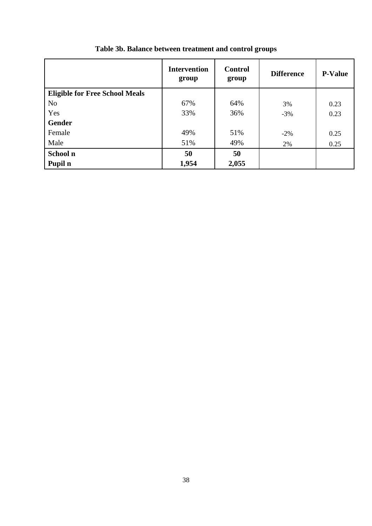|                                       | <b>Intervention</b><br>group | <b>Control</b><br>group | <b>Difference</b> | <b>P-Value</b> |
|---------------------------------------|------------------------------|-------------------------|-------------------|----------------|
| <b>Eligible for Free School Meals</b> |                              |                         |                   |                |
| N <sub>o</sub>                        | 67%                          | 64%                     | 3%                | 0.23           |
| Yes                                   | 33%                          | 36%                     | $-3%$             | 0.23           |
| Gender                                |                              |                         |                   |                |
| Female                                | 49%                          | 51%                     | $-2\%$            | 0.25           |
| Male                                  | 51%                          | 49%                     | 2%                | 0.25           |
| School n                              | 50                           | 50                      |                   |                |
| Pupil n                               | 1,954                        | 2,055                   |                   |                |

# **Table 3b. Balance between treatment and control groups**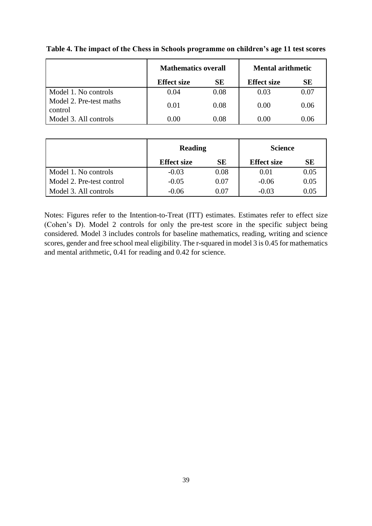|                                    | <b>Mathematics overall</b> |          | <b>Mental arithmetic</b> |      |
|------------------------------------|----------------------------|----------|--------------------------|------|
|                                    | <b>Effect size</b>         | SЕ       | <b>Effect size</b>       | SЕ   |
| Model 1. No controls               | 0.04                       | 0.08     | 0.03                     | 0.07 |
| Model 2. Pre-test maths<br>control | 0.01                       | 0.08     | 0.00                     | 0.06 |
| Model 3. All controls              | $0.00\,$                   | $0.08\,$ | 0.00                     | 0.06 |

**Table 4. The impact of the Chess in Schools programme on children's age 11 test scores**

|                           | Reading            |           | <b>Science</b>     |           |
|---------------------------|--------------------|-----------|--------------------|-----------|
|                           | <b>Effect size</b> | <b>SE</b> | <b>Effect size</b> | <b>SE</b> |
| Model 1. No controls      | $-0.03$            | 0.08      | 0.01               | 0.05      |
| Model 2. Pre-test control | $-0.05$            | 0.07      | $-0.06$            | 0.05      |
| Model 3. All controls     | $-0.06$            | 0.07      | $-0.03$            | 0.05      |

Notes: Figures refer to the Intention-to-Treat (ITT) estimates. Estimates refer to effect size (Cohen's D). Model 2 controls for only the pre-test score in the specific subject being considered. Model 3 includes controls for baseline mathematics, reading, writing and science scores, gender and free school meal eligibility. The r-squared in model 3 is 0.45 for mathematics and mental arithmetic, 0.41 for reading and 0.42 for science.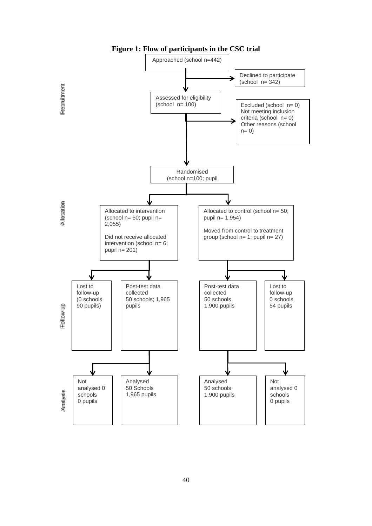

**Figure 1: Flow of participants in the CSC trial**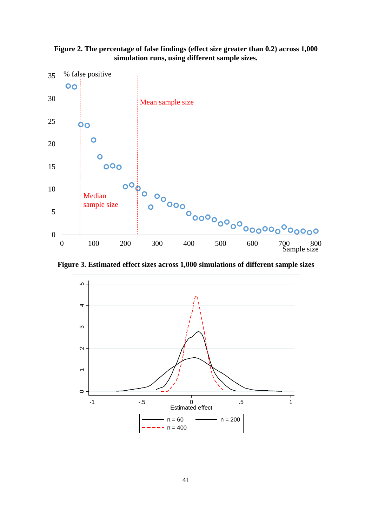



**Figure 3. Estimated effect sizes across 1,000 simulations of different sample sizes**

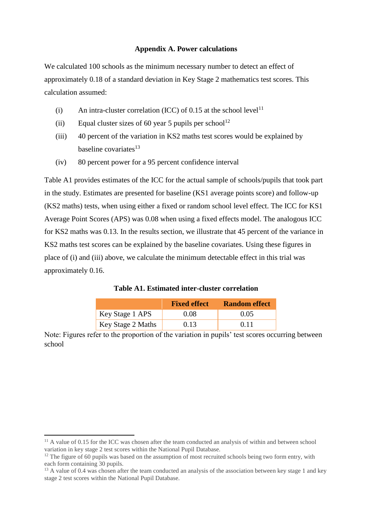# **Appendix A. Power calculations**

We calculated 100 schools as the minimum necessary number to detect an effect of approximately 0.18 of a standard deviation in Key Stage 2 mathematics test scores. This calculation assumed:

- (i) An intra-cluster correlation (ICC) of 0.15 at the school level<sup>11</sup>
- (ii) Equal cluster sizes of 60 year 5 pupils per school<sup>12</sup>
- (iii) 40 percent of the variation in KS2 maths test scores would be explained by baseline covariates $^{13}$
- (iv) 80 percent power for a 95 percent confidence interval

Table A1 provides estimates of the ICC for the actual sample of schools/pupils that took part in the study. Estimates are presented for baseline (KS1 average points score) and follow-up (KS2 maths) tests, when using either a fixed or random school level effect. The ICC for KS1 Average Point Scores (APS) was 0.08 when using a fixed effects model. The analogous ICC for KS2 maths was 0.13. In the results section, we illustrate that 45 percent of the variance in KS2 maths test scores can be explained by the baseline covariates. Using these figures in place of (i) and (iii) above, we calculate the minimum detectable effect in this trial was approximately 0.16.

|                   | <b>Fixed effect</b> | <b>Random effect</b> |
|-------------------|---------------------|----------------------|
| Key Stage 1 APS   | 0.08                | 0.05                 |
| Key Stage 2 Maths | 0.13                | 0.11                 |

**Table A1. Estimated inter-cluster correlation** 

Note: Figures refer to the proportion of the variation in pupils' test scores occurring between school

 $\overline{a}$ 

<sup>&</sup>lt;sup>11</sup> A value of 0.15 for the ICC was chosen after the team conducted an analysis of within and between school variation in key stage 2 test scores within the National Pupil Database.

 $12$  The figure of 60 pupils was based on the assumption of most recruited schools being two form entry, with each form containing 30 pupils.

 $13$  A value of 0.4 was chosen after the team conducted an analysis of the association between key stage 1 and key stage 2 test scores within the National Pupil Database.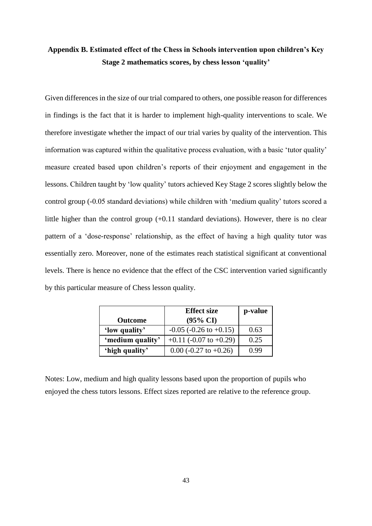# **Appendix B. Estimated effect of the Chess in Schools intervention upon children's Key Stage 2 mathematics scores, by chess lesson 'quality'**

Given differences in the size of our trial compared to others, one possible reason for differences in findings is the fact that it is harder to implement high-quality interventions to scale. We therefore investigate whether the impact of our trial varies by quality of the intervention. This information was captured within the qualitative process evaluation, with a basic 'tutor quality' measure created based upon children's reports of their enjoyment and engagement in the lessons. Children taught by 'low quality' tutors achieved Key Stage 2 scores slightly below the control group (-0.05 standard deviations) while children with 'medium quality' tutors scored a little higher than the control group  $(+0.11)$  standard deviations). However, there is no clear pattern of a 'dose-response' relationship, as the effect of having a high quality tutor was essentially zero. Moreover, none of the estimates reach statistical significant at conventional levels. There is hence no evidence that the effect of the CSC intervention varied significantly by this particular measure of Chess lesson quality.

|                  | <b>Effect size</b>             | p-value |
|------------------|--------------------------------|---------|
| <b>Outcome</b>   | $(95\% \text{ CI})$            |         |
| 'low quality'    | $-0.05$ ( $-0.26$ to $+0.15$ ) | 0.63    |
| 'medium quality' | $+0.11$ (-0.07 to $+0.29$ )    | 0.25    |
| 'high quality'   | $0.00$ (-0.27 to +0.26)        | 0.99    |

Notes: Low, medium and high quality lessons based upon the proportion of pupils who enjoyed the chess tutors lessons. Effect sizes reported are relative to the reference group.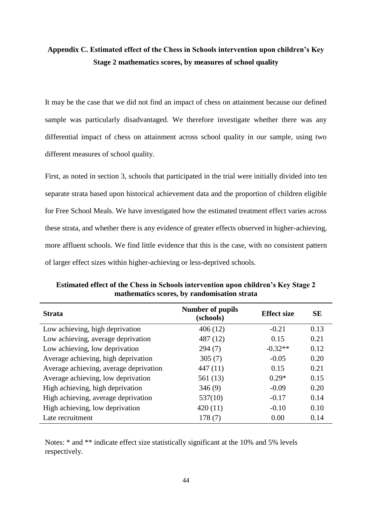# **Appendix C. Estimated effect of the Chess in Schools intervention upon children's Key Stage 2 mathematics scores, by measures of school quality**

It may be the case that we did not find an impact of chess on attainment because our defined sample was particularly disadvantaged. We therefore investigate whether there was any differential impact of chess on attainment across school quality in our sample, using two different measures of school quality.

First, as noted in section 3, schools that participated in the trial were initially divided into ten separate strata based upon historical achievement data and the proportion of children eligible for Free School Meals. We have investigated how the estimated treatment effect varies across these strata, and whether there is any evidence of greater effects observed in higher-achieving, more affluent schools. We find little evidence that this is the case, with no consistent pattern of larger effect sizes within higher-achieving or less-deprived schools.

| <b>Strata</b>                          | <b>Number of pupils</b><br>(schools) | <b>Effect size</b> | <b>SE</b> |
|----------------------------------------|--------------------------------------|--------------------|-----------|
| Low achieving, high deprivation        | 406(12)                              | $-0.21$            | 0.13      |
| Low achieving, average deprivation     | 487 (12)                             | 0.15               | 0.21      |
| Low achieving, low deprivation         | 294(7)                               | $-0.32**$          | 0.12      |
| Average achieving, high deprivation    | 305(7)                               | $-0.05$            | 0.20      |
| Average achieving, average deprivation | 447(11)                              | 0.15               | 0.21      |
| Average achieving, low deprivation     | 561 (13)                             | $0.29*$            | 0.15      |
| High achieving, high deprivation       | 346(9)                               | $-0.09$            | 0.20      |
| High achieving, average deprivation    | 537(10)                              | $-0.17$            | 0.14      |
| High achieving, low deprivation        | 420(11)                              | $-0.10$            | 0.10      |
| Late recruitment                       | 178(7)                               | 0.00               | 0.14      |

**Estimated effect of the Chess in Schools intervention upon children's Key Stage 2 mathematics scores, by randomisation strata**

Notes: \* and \*\* indicate effect size statistically significant at the 10% and 5% levels respectively.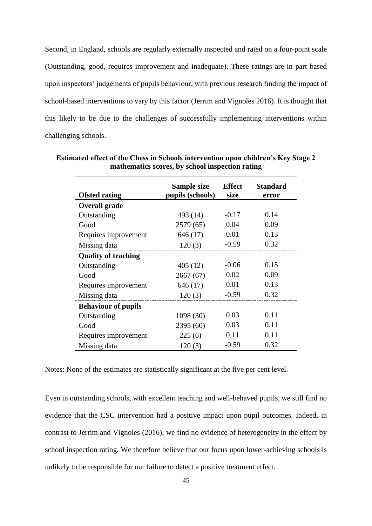Second, in England, schools are regularly externally inspected and rated on a four-point scale (Outstanding, good, requires improvement and inadequate). These ratings are in part based upon inspectors' judgements of pupils behaviour, with previous research finding the impact of school-based interventions to vary by this factor (Jerrim and Vignoles 2016). It is thought that this likely to be due to the challenges of successfully implementing interventions within challenging schools.

| <b>Ofsted rating</b>       | Sample size<br>pupils (schools) | <b>Effect</b><br>size | <b>Standard</b><br>error |
|----------------------------|---------------------------------|-----------------------|--------------------------|
| <b>Overall</b> grade       |                                 |                       |                          |
| Outstanding                | 493 (14)                        | $-0.17$               | 0.14                     |
| Good                       | 2579(65)                        | 0.04                  | 0.09                     |
| Requires improvement       | 646 (17)                        | 0.01                  | 0.13                     |
| Missing data               | 120(3)                          | $-0.59$               | 0.32                     |
| <b>Quality of teaching</b> |                                 |                       |                          |
| Outstanding                | 405(12)                         | $-0.06$               | 0.15                     |
| Good                       | 2667(67)                        | 0.02                  | 0.09                     |
| Requires improvement       | 646 (17)                        | 0.01                  | 0.13                     |
| Missing data               | 120(3)                          | $-0.59$               | 0.32                     |
| <b>Behaviour of pupils</b> |                                 |                       |                          |
| Outstanding                | 1098 (30)                       | 0.03                  | 0.11                     |
| Good                       | 2395 (60)                       | 0.03                  | 0.11                     |
| Requires improvement       | 225(6)                          | 0.11                  | 0.11                     |
| Missing data               | 120(3)                          | $-0.59$               | 0.32                     |

**Estimated effect of the Chess in Schools intervention upon children's Key Stage 2 mathematics scores, by school inspection rating**

Notes: None of the estimates are statistically significant at the five per cent level.

Even in outstanding schools, with excellent teaching and well-behaved pupils, we still find no evidence that the CSC intervention had a positive impact upon pupil outcomes. Indeed, in contrast to Jerrim and Vignoles (2016), we find no evidence of heterogeneity in the effect by school inspection rating. We therefore believe that our focus upon lower-achieving schools is unlikely to be responsible for our failure to detect a positive treatment effect.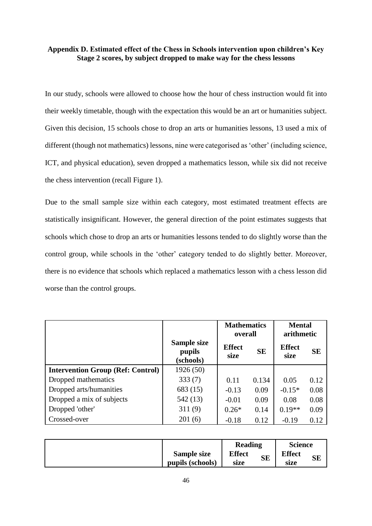# **Appendix D. Estimated effect of the Chess in Schools intervention upon children's Key Stage 2 scores, by subject dropped to make way for the chess lessons**

In our study, schools were allowed to choose how the hour of chess instruction would fit into their weekly timetable, though with the expectation this would be an art or humanities subject. Given this decision, 15 schools chose to drop an arts or humanities lessons, 13 used a mix of different (though not mathematics) lessons, nine were categorised as 'other' (including science, ICT, and physical education), seven dropped a mathematics lesson, while six did not receive the chess intervention (recall Figure 1).

Due to the small sample size within each category, most estimated treatment effects are statistically insignificant. However, the general direction of the point estimates suggests that schools which chose to drop an arts or humanities lessons tended to do slightly worse than the control group, while schools in the 'other' category tended to do slightly better. Moreover, there is no evidence that schools which replaced a mathematics lesson with a chess lesson did worse than the control groups.

|                                          |                                    | <b>Mathematics</b><br>overall |           | <b>Mental</b><br>arithmetic |           |  |
|------------------------------------------|------------------------------------|-------------------------------|-----------|-----------------------------|-----------|--|
|                                          | Sample size<br>pupils<br>(schools) | <b>Effect</b><br>size         | <b>SE</b> | <b>Effect</b><br>size       | <b>SE</b> |  |
| <b>Intervention Group (Ref: Control)</b> | 1926(50)                           |                               |           |                             |           |  |
| Dropped mathematics                      | 333(7)                             | 0.11                          | 0.134     | 0.05                        | 0.12      |  |
| Dropped arts/humanities                  | 683 (15)                           | $-0.13$                       | 0.09      | $-0.15*$                    | 0.08      |  |
| Dropped a mix of subjects                | 542(13)                            | $-0.01$                       | 0.09      | 0.08                        | 0.08      |  |
| Dropped 'other'                          | 311(9)                             | $0.26*$                       | 0.14      | $0.19**$                    | 0.09      |  |
| Crossed-over                             | 201(6)                             | $-0.18$                       | 0.12      | $-0.19$                     | 0.12      |  |

|                  | <b>Reading</b> |           | <b>Science</b> |    |
|------------------|----------------|-----------|----------------|----|
| Sample size      | <b>Effect</b>  | <b>SE</b> | <b>Effect</b>  | SE |
| pupils (schools) | size           |           | size           |    |